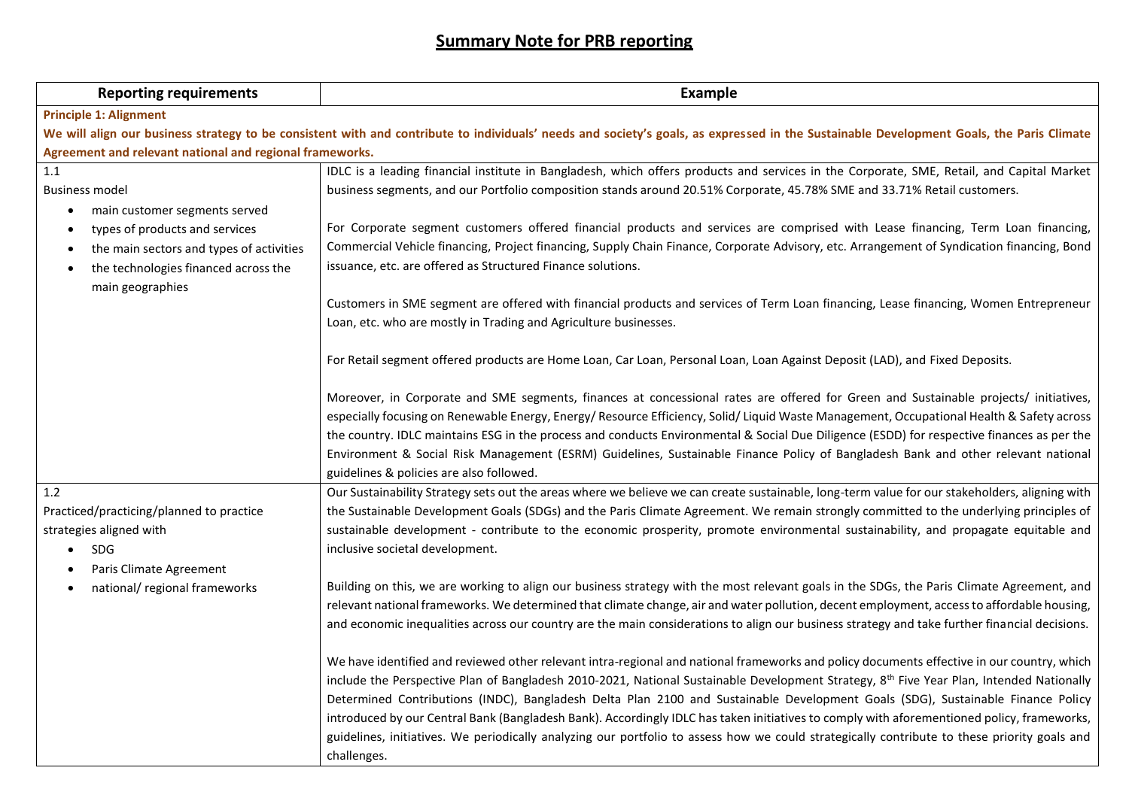## **Summary Note for PRB reporting**

| <b>Reporting requirements</b>                                                                                                                                                            | <b>Example</b>                                                                                                                                                                                                                                                                                                                                                                                                                                                                                                                                                       |  |  |  |
|------------------------------------------------------------------------------------------------------------------------------------------------------------------------------------------|----------------------------------------------------------------------------------------------------------------------------------------------------------------------------------------------------------------------------------------------------------------------------------------------------------------------------------------------------------------------------------------------------------------------------------------------------------------------------------------------------------------------------------------------------------------------|--|--|--|
| <b>Principle 1: Alignment</b>                                                                                                                                                            |                                                                                                                                                                                                                                                                                                                                                                                                                                                                                                                                                                      |  |  |  |
| We will align our business strategy to be consistent with and contribute to individuals' needs and society's goals, as expressed in the Sustainable Development Goals, the Paris Climate |                                                                                                                                                                                                                                                                                                                                                                                                                                                                                                                                                                      |  |  |  |
| Agreement and relevant national and regional frameworks.                                                                                                                                 |                                                                                                                                                                                                                                                                                                                                                                                                                                                                                                                                                                      |  |  |  |
| 1.1                                                                                                                                                                                      | IDLC is a leading financial institute in Bangladesh, which offers products and services in the Corporate, SME, Retail, and Capital Market                                                                                                                                                                                                                                                                                                                                                                                                                            |  |  |  |
| <b>Business model</b>                                                                                                                                                                    | business segments, and our Portfolio composition stands around 20.51% Corporate, 45.78% SME and 33.71% Retail customers.                                                                                                                                                                                                                                                                                                                                                                                                                                             |  |  |  |
| main customer segments served                                                                                                                                                            |                                                                                                                                                                                                                                                                                                                                                                                                                                                                                                                                                                      |  |  |  |
| types of products and services                                                                                                                                                           | For Corporate segment customers offered financial products and services are comprised with Lease financing, Term Loan financing,                                                                                                                                                                                                                                                                                                                                                                                                                                     |  |  |  |
| the main sectors and types of activities                                                                                                                                                 | Commercial Vehicle financing, Project financing, Supply Chain Finance, Corporate Advisory, etc. Arrangement of Syndication financing, Bond                                                                                                                                                                                                                                                                                                                                                                                                                           |  |  |  |
| the technologies financed across the<br>main geographies                                                                                                                                 | issuance, etc. are offered as Structured Finance solutions.                                                                                                                                                                                                                                                                                                                                                                                                                                                                                                          |  |  |  |
|                                                                                                                                                                                          | Customers in SME segment are offered with financial products and services of Term Loan financing, Lease financing, Women Entrepreneur                                                                                                                                                                                                                                                                                                                                                                                                                                |  |  |  |
|                                                                                                                                                                                          | Loan, etc. who are mostly in Trading and Agriculture businesses.                                                                                                                                                                                                                                                                                                                                                                                                                                                                                                     |  |  |  |
|                                                                                                                                                                                          | For Retail segment offered products are Home Loan, Car Loan, Personal Loan, Loan Against Deposit (LAD), and Fixed Deposits.                                                                                                                                                                                                                                                                                                                                                                                                                                          |  |  |  |
|                                                                                                                                                                                          | Moreover, in Corporate and SME segments, finances at concessional rates are offered for Green and Sustainable projects/ initiatives,<br>especially focusing on Renewable Energy, Energy/ Resource Efficiency, Solid/ Liquid Waste Management, Occupational Health & Safety across<br>the country. IDLC maintains ESG in the process and conducts Environmental & Social Due Diligence (ESDD) for respective finances as per the<br>Environment & Social Risk Management (ESRM) Guidelines, Sustainable Finance Policy of Bangladesh Bank and other relevant national |  |  |  |
|                                                                                                                                                                                          | guidelines & policies are also followed.                                                                                                                                                                                                                                                                                                                                                                                                                                                                                                                             |  |  |  |
| 1.2                                                                                                                                                                                      | Our Sustainability Strategy sets out the areas where we believe we can create sustainable, long-term value for our stakeholders, aligning with                                                                                                                                                                                                                                                                                                                                                                                                                       |  |  |  |
| Practiced/practicing/planned to practice                                                                                                                                                 | the Sustainable Development Goals (SDGs) and the Paris Climate Agreement. We remain strongly committed to the underlying principles of                                                                                                                                                                                                                                                                                                                                                                                                                               |  |  |  |
| strategies aligned with                                                                                                                                                                  | sustainable development - contribute to the economic prosperity, promote environmental sustainability, and propagate equitable and                                                                                                                                                                                                                                                                                                                                                                                                                                   |  |  |  |
| <b>SDG</b>                                                                                                                                                                               | inclusive societal development.                                                                                                                                                                                                                                                                                                                                                                                                                                                                                                                                      |  |  |  |
| Paris Climate Agreement<br>national/ regional frameworks                                                                                                                                 | Building on this, we are working to align our business strategy with the most relevant goals in the SDGs, the Paris Climate Agreement, and                                                                                                                                                                                                                                                                                                                                                                                                                           |  |  |  |
|                                                                                                                                                                                          | relevant national frameworks. We determined that climate change, air and water pollution, decent employment, access to affordable housing,                                                                                                                                                                                                                                                                                                                                                                                                                           |  |  |  |
|                                                                                                                                                                                          | and economic inequalities across our country are the main considerations to align our business strategy and take further financial decisions.                                                                                                                                                                                                                                                                                                                                                                                                                        |  |  |  |
|                                                                                                                                                                                          | We have identified and reviewed other relevant intra-regional and national frameworks and policy documents effective in our country, which                                                                                                                                                                                                                                                                                                                                                                                                                           |  |  |  |
|                                                                                                                                                                                          | include the Perspective Plan of Bangladesh 2010-2021, National Sustainable Development Strategy, 8 <sup>th</sup> Five Year Plan, Intended Nationally                                                                                                                                                                                                                                                                                                                                                                                                                 |  |  |  |
|                                                                                                                                                                                          | Determined Contributions (INDC), Bangladesh Delta Plan 2100 and Sustainable Development Goals (SDG), Sustainable Finance Policy                                                                                                                                                                                                                                                                                                                                                                                                                                      |  |  |  |
|                                                                                                                                                                                          | introduced by our Central Bank (Bangladesh Bank). Accordingly IDLC has taken initiatives to comply with aforementioned policy, frameworks,                                                                                                                                                                                                                                                                                                                                                                                                                           |  |  |  |
|                                                                                                                                                                                          | guidelines, initiatives. We periodically analyzing our portfolio to assess how we could strategically contribute to these priority goals and                                                                                                                                                                                                                                                                                                                                                                                                                         |  |  |  |
|                                                                                                                                                                                          | challenges.                                                                                                                                                                                                                                                                                                                                                                                                                                                                                                                                                          |  |  |  |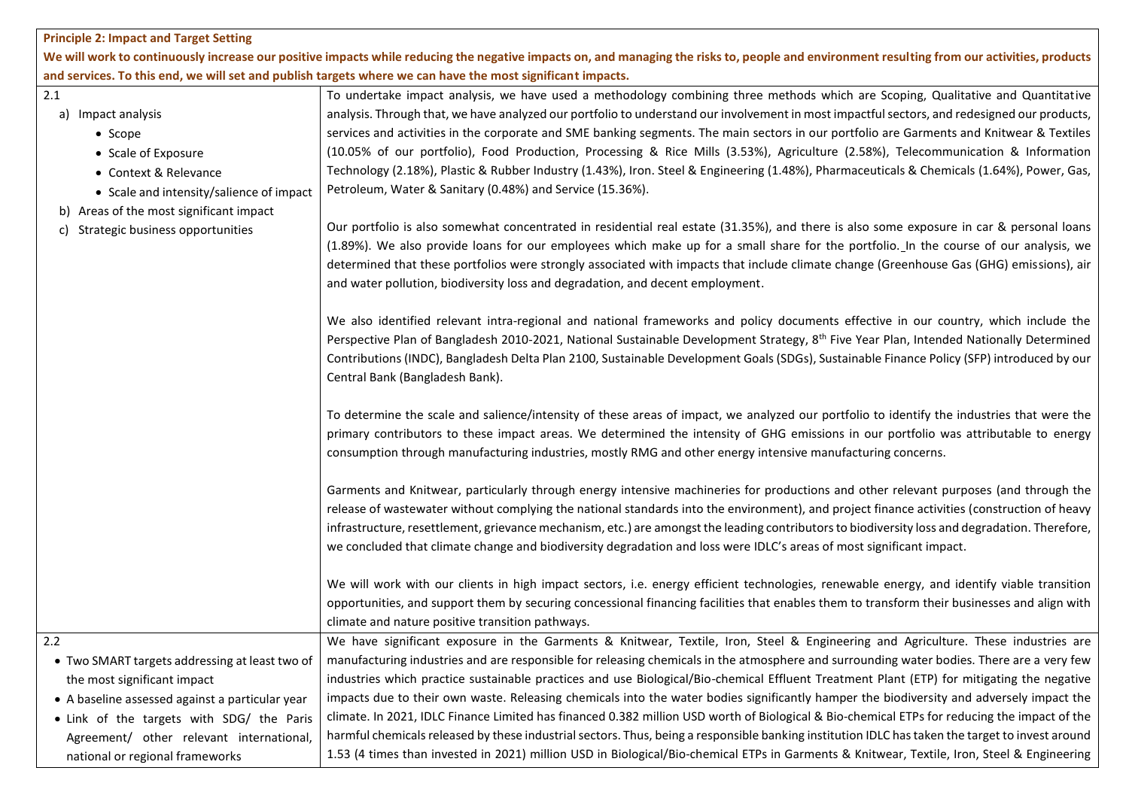## **Principle 2: Impact and Target Setting**

We will work to continuously increase our positive impacts while reducing the negative impacts on, and managing the risks to, people and environment resulting from our activities, products **and services. To this end, we will set and publish targets where we can have the most significant impacts.**

| 2.1 |                                                 | To undertake impact analysis, we have used a methodology combining three methods which are Scoping, Qualitative and Quantitative                    |
|-----|-------------------------------------------------|-----------------------------------------------------------------------------------------------------------------------------------------------------|
|     | a) Impact analysis                              | analysis. Through that, we have analyzed our portfolio to understand our involvement in most impactful sectors, and redesigned our products,        |
|     | • Scope                                         | services and activities in the corporate and SME banking segments. The main sectors in our portfolio are Garments and Knitwear & Textiles           |
|     | • Scale of Exposure                             | (10.05% of our portfolio), Food Production, Processing & Rice Mills (3.53%), Agriculture (2.58%), Telecommunication & Information                   |
|     | • Context & Relevance                           | Technology (2.18%), Plastic & Rubber Industry (1.43%), Iron. Steel & Engineering (1.48%), Pharmaceuticals & Chemicals (1.64%), Power, Gas,          |
|     | • Scale and intensity/salience of impact        | Petroleum, Water & Sanitary (0.48%) and Service (15.36%).                                                                                           |
|     | Areas of the most significant impact            |                                                                                                                                                     |
| C)  | Strategic business opportunities                | Our portfolio is also somewhat concentrated in residential real estate (31.35%), and there is also some exposure in car & personal loans            |
|     |                                                 | (1.89%). We also provide loans for our employees which make up for a small share for the portfolio. In the course of our analysis, we               |
|     |                                                 | determined that these portfolios were strongly associated with impacts that include climate change (Greenhouse Gas (GHG) emissions), air            |
|     |                                                 | and water pollution, biodiversity loss and degradation, and decent employment.                                                                      |
|     |                                                 |                                                                                                                                                     |
|     |                                                 | We also identified relevant intra-regional and national frameworks and policy documents effective in our country, which include the                 |
|     |                                                 | Perspective Plan of Bangladesh 2010-2021, National Sustainable Development Strategy, 8 <sup>th</sup> Five Year Plan, Intended Nationally Determined |
|     |                                                 | Contributions (INDC), Bangladesh Delta Plan 2100, Sustainable Development Goals (SDGs), Sustainable Finance Policy (SFP) introduced by our          |
|     |                                                 | Central Bank (Bangladesh Bank).                                                                                                                     |
|     |                                                 |                                                                                                                                                     |
|     |                                                 | To determine the scale and salience/intensity of these areas of impact, we analyzed our portfolio to identify the industries that were the          |
|     |                                                 | primary contributors to these impact areas. We determined the intensity of GHG emissions in our portfolio was attributable to energy                |
|     |                                                 | consumption through manufacturing industries, mostly RMG and other energy intensive manufacturing concerns.                                         |
|     |                                                 |                                                                                                                                                     |
|     |                                                 | Garments and Knitwear, particularly through energy intensive machineries for productions and other relevant purposes (and through the               |
|     |                                                 | release of wastewater without complying the national standards into the environment), and project finance activities (construction of heavy         |
|     |                                                 | infrastructure, resettlement, grievance mechanism, etc.) are amongst the leading contributors to biodiversity loss and degradation. Therefore,      |
|     |                                                 | we concluded that climate change and biodiversity degradation and loss were IDLC's areas of most significant impact.                                |
|     |                                                 |                                                                                                                                                     |
|     |                                                 | We will work with our clients in high impact sectors, i.e. energy efficient technologies, renewable energy, and identify viable transition          |
|     |                                                 | opportunities, and support them by securing concessional financing facilities that enables them to transform their businesses and align with        |
|     |                                                 | climate and nature positive transition pathways.                                                                                                    |
| 2.2 |                                                 | We have significant exposure in the Garments & Knitwear, Textile, Iron, Steel & Engineering and Agriculture. These industries are                   |
|     |                                                 |                                                                                                                                                     |
|     | • Two SMART targets addressing at least two of  | manufacturing industries and are responsible for releasing chemicals in the atmosphere and surrounding water bodies. There are a very few           |
|     | the most significant impact                     | industries which practice sustainable practices and use Biological/Bio-chemical Effluent Treatment Plant (ETP) for mitigating the negative          |
|     | • A baseline assessed against a particular year | impacts due to their own waste. Releasing chemicals into the water bodies significantly hamper the biodiversity and adversely impact the            |
|     | . Link of the targets with SDG/ the Paris       | climate. In 2021, IDLC Finance Limited has financed 0.382 million USD worth of Biological & Bio-chemical ETPs for reducing the impact of the        |
|     | Agreement/ other relevant international,        | harmful chemicals released by these industrial sectors. Thus, being a responsible banking institution IDLC has taken the target to invest around    |
|     | national or regional frameworks                 | 1.53 (4 times than invested in 2021) million USD in Biological/Bio-chemical ETPs in Garments & Knitwear, Textile, Iron, Steel & Engineering         |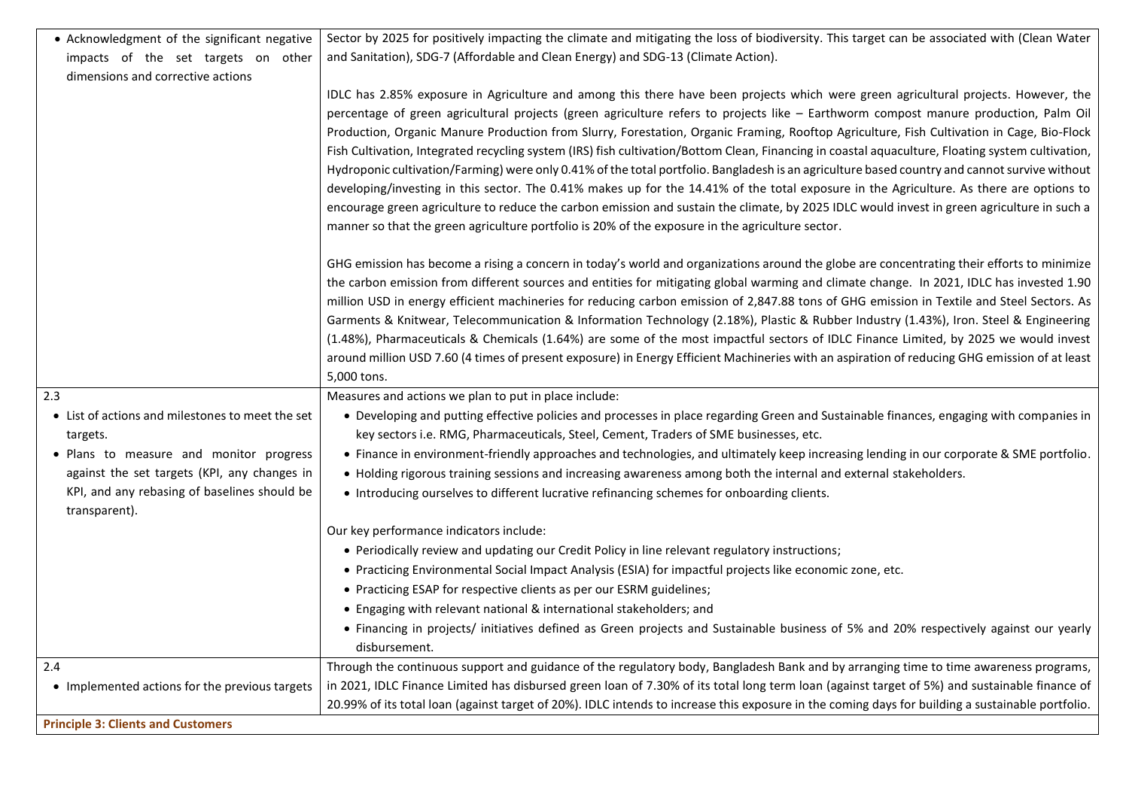| • Acknowledgment of the significant negative                  | Sector by 2025 for positively impacting the climate and mitigating the loss of biodiversity. This target can be associated with (Clean Water      |
|---------------------------------------------------------------|---------------------------------------------------------------------------------------------------------------------------------------------------|
| impacts of the set targets on other                           | and Sanitation), SDG-7 (Affordable and Clean Energy) and SDG-13 (Climate Action).                                                                 |
| dimensions and corrective actions                             |                                                                                                                                                   |
|                                                               | IDLC has 2.85% exposure in Agriculture and among this there have been projects which were green agricultural projects. However, the               |
|                                                               | percentage of green agricultural projects (green agriculture refers to projects like - Earthworm compost manure production, Palm Oil              |
|                                                               | Production, Organic Manure Production from Slurry, Forestation, Organic Framing, Rooftop Agriculture, Fish Cultivation in Cage, Bio-Flock         |
|                                                               | Fish Cultivation, Integrated recycling system (IRS) fish cultivation/Bottom Clean, Financing in coastal aquaculture, Floating system cultivation, |
|                                                               | Hydroponic cultivation/Farming) were only 0.41% of the total portfolio. Bangladesh is an agriculture based country and cannot survive without     |
|                                                               | developing/investing in this sector. The 0.41% makes up for the 14.41% of the total exposure in the Agriculture. As there are options to          |
|                                                               | encourage green agriculture to reduce the carbon emission and sustain the climate, by 2025 IDLC would invest in green agriculture in such a       |
|                                                               | manner so that the green agriculture portfolio is 20% of the exposure in the agriculture sector.                                                  |
|                                                               | GHG emission has become a rising a concern in today's world and organizations around the globe are concentrating their efforts to minimize        |
|                                                               | the carbon emission from different sources and entities for mitigating global warming and climate change. In 2021, IDLC has invested 1.90         |
|                                                               | million USD in energy efficient machineries for reducing carbon emission of 2,847.88 tons of GHG emission in Textile and Steel Sectors. As        |
|                                                               | Garments & Knitwear, Telecommunication & Information Technology (2.18%), Plastic & Rubber Industry (1.43%), Iron. Steel & Engineering             |
|                                                               | (1.48%), Pharmaceuticals & Chemicals (1.64%) are some of the most impactful sectors of IDLC Finance Limited, by 2025 we would invest              |
|                                                               | around million USD 7.60 (4 times of present exposure) in Energy Efficient Machineries with an aspiration of reducing GHG emission of at least     |
|                                                               | 5,000 tons.                                                                                                                                       |
| 2.3                                                           | Measures and actions we plan to put in place include:                                                                                             |
| • List of actions and milestones to meet the set              | • Developing and putting effective policies and processes in place regarding Green and Sustainable finances, engaging with companies in           |
| targets.                                                      | key sectors i.e. RMG, Pharmaceuticals, Steel, Cement, Traders of SME businesses, etc.                                                             |
| • Plans to measure and monitor progress                       | • Finance in environment-friendly approaches and technologies, and ultimately keep increasing lending in our corporate & SME portfolio.           |
| against the set targets (KPI, any changes in                  | • Holding rigorous training sessions and increasing awareness among both the internal and external stakeholders.                                  |
| KPI, and any rebasing of baselines should be<br>transparent). | • Introducing ourselves to different lucrative refinancing schemes for onboarding clients.                                                        |
|                                                               | Our key performance indicators include:                                                                                                           |
|                                                               | • Periodically review and updating our Credit Policy in line relevant regulatory instructions;                                                    |
|                                                               | . Practicing Environmental Social Impact Analysis (ESIA) for impactful projects like economic zone, etc.                                          |
|                                                               | • Practicing ESAP for respective clients as per our ESRM guidelines;                                                                              |
|                                                               | • Engaging with relevant national & international stakeholders; and                                                                               |
|                                                               | • Financing in projects/ initiatives defined as Green projects and Sustainable business of 5% and 20% respectively against our yearly             |
|                                                               | disbursement.                                                                                                                                     |
| 2.4                                                           | Through the continuous support and guidance of the regulatory body, Bangladesh Bank and by arranging time to time awareness programs,             |
| • Implemented actions for the previous targets                | in 2021, IDLC Finance Limited has disbursed green loan of 7.30% of its total long term loan (against target of 5%) and sustainable finance of     |
|                                                               | 20.99% of its total loan (against target of 20%). IDLC intends to increase this exposure in the coming days for building a sustainable portfolio. |
|                                                               |                                                                                                                                                   |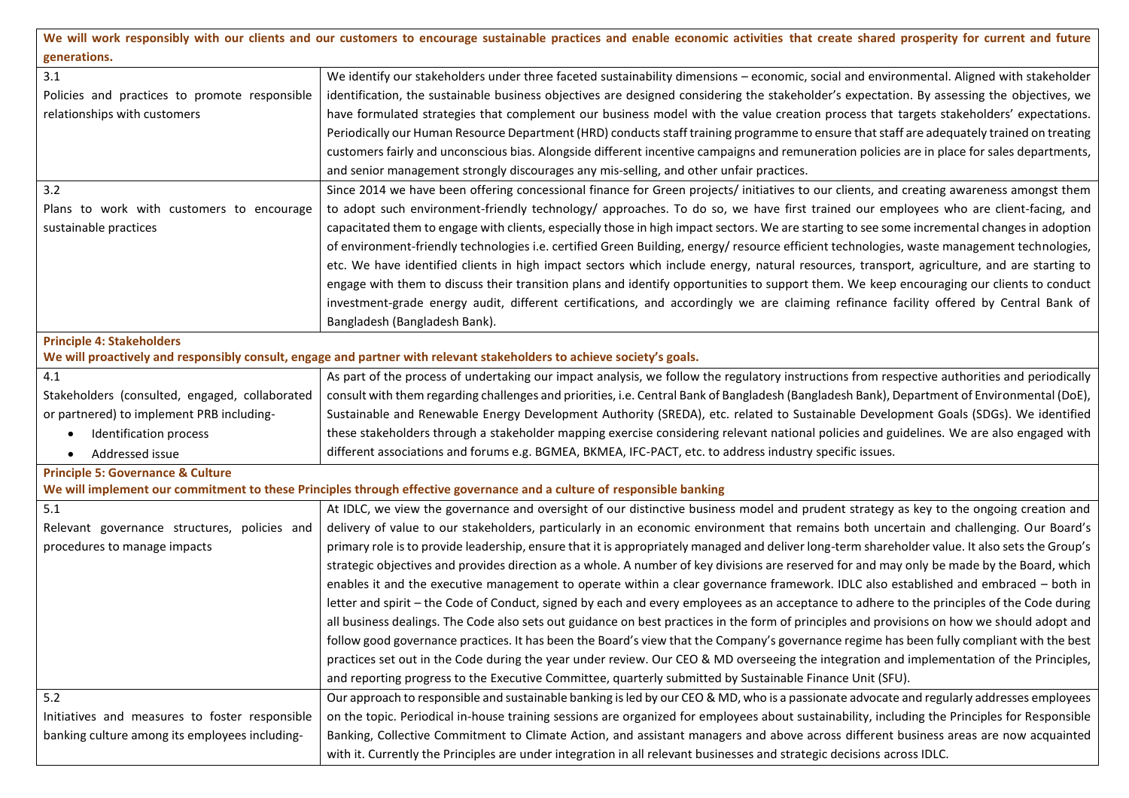| We will work responsibly with our clients and our customers to encourage sustainable practices and enable economic activities that create shared prosperity for current and future |                                                                                                                                                  |  |  |
|------------------------------------------------------------------------------------------------------------------------------------------------------------------------------------|--------------------------------------------------------------------------------------------------------------------------------------------------|--|--|
| generations.                                                                                                                                                                       |                                                                                                                                                  |  |  |
| 3.1                                                                                                                                                                                | We identify our stakeholders under three faceted sustainability dimensions - economic, social and environmental. Aligned with stakeholder        |  |  |
| Policies and practices to promote responsible                                                                                                                                      | identification, the sustainable business objectives are designed considering the stakeholder's expectation. By assessing the objectives, we      |  |  |
| relationships with customers                                                                                                                                                       | have formulated strategies that complement our business model with the value creation process that targets stakeholders' expectations.           |  |  |
|                                                                                                                                                                                    | Periodically our Human Resource Department (HRD) conducts staff training programme to ensure that staff are adequately trained on treating       |  |  |
|                                                                                                                                                                                    | customers fairly and unconscious bias. Alongside different incentive campaigns and remuneration policies are in place for sales departments,     |  |  |
|                                                                                                                                                                                    | and senior management strongly discourages any mis-selling, and other unfair practices.                                                          |  |  |
| 3.2                                                                                                                                                                                | Since 2014 we have been offering concessional finance for Green projects/ initiatives to our clients, and creating awareness amongst them        |  |  |
| Plans to work with customers to encourage                                                                                                                                          | to adopt such environment-friendly technology/ approaches. To do so, we have first trained our employees who are client-facing, and              |  |  |
| sustainable practices                                                                                                                                                              | capacitated them to engage with clients, especially those in high impact sectors. We are starting to see some incremental changes in adoption    |  |  |
|                                                                                                                                                                                    | of environment-friendly technologies i.e. certified Green Building, energy/resource efficient technologies, waste management technologies,       |  |  |
|                                                                                                                                                                                    | etc. We have identified clients in high impact sectors which include energy, natural resources, transport, agriculture, and are starting to      |  |  |
|                                                                                                                                                                                    | engage with them to discuss their transition plans and identify opportunities to support them. We keep encouraging our clients to conduct        |  |  |
|                                                                                                                                                                                    | investment-grade energy audit, different certifications, and accordingly we are claiming refinance facility offered by Central Bank of           |  |  |
|                                                                                                                                                                                    | Bangladesh (Bangladesh Bank).                                                                                                                    |  |  |
| <b>Principle 4: Stakeholders</b>                                                                                                                                                   |                                                                                                                                                  |  |  |
|                                                                                                                                                                                    | We will proactively and responsibly consult, engage and partner with relevant stakeholders to achieve society's goals.                           |  |  |
| 4.1                                                                                                                                                                                | As part of the process of undertaking our impact analysis, we follow the regulatory instructions from respective authorities and periodically    |  |  |
| Stakeholders (consulted, engaged, collaborated                                                                                                                                     | consult with them regarding challenges and priorities, i.e. Central Bank of Bangladesh (Bangladesh Bank), Department of Environmental (DoE),     |  |  |
| or partnered) to implement PRB including-                                                                                                                                          | Sustainable and Renewable Energy Development Authority (SREDA), etc. related to Sustainable Development Goals (SDGs). We identified              |  |  |
| Identification process<br>$\bullet$                                                                                                                                                | these stakeholders through a stakeholder mapping exercise considering relevant national policies and guidelines. We are also engaged with        |  |  |
| Addressed issue<br>$\bullet$                                                                                                                                                       | different associations and forums e.g. BGMEA, BKMEA, IFC-PACT, etc. to address industry specific issues.                                         |  |  |
| <b>Principle 5: Governance &amp; Culture</b>                                                                                                                                       |                                                                                                                                                  |  |  |
|                                                                                                                                                                                    | We will implement our commitment to these Principles through effective governance and a culture of responsible banking                           |  |  |
| 5.1                                                                                                                                                                                | At IDLC, we view the governance and oversight of our distinctive business model and prudent strategy as key to the ongoing creation and          |  |  |
| Relevant governance structures, policies and                                                                                                                                       | delivery of value to our stakeholders, particularly in an economic environment that remains both uncertain and challenging. Our Board's          |  |  |
| procedures to manage impacts                                                                                                                                                       | primary role is to provide leadership, ensure that it is appropriately managed and deliver long-term shareholder value. It also sets the Group's |  |  |
|                                                                                                                                                                                    | strategic objectives and provides direction as a whole. A number of key divisions are reserved for and may only be made by the Board, which      |  |  |
|                                                                                                                                                                                    | enables it and the executive management to operate within a clear governance framework. IDLC also established and embraced - both in             |  |  |
|                                                                                                                                                                                    | letter and spirit – the Code of Conduct, signed by each and every employees as an acceptance to adhere to the principles of the Code during      |  |  |
|                                                                                                                                                                                    | all business dealings. The Code also sets out guidance on best practices in the form of principles and provisions on how we should adopt and     |  |  |
|                                                                                                                                                                                    | follow good governance practices. It has been the Board's view that the Company's governance regime has been fully compliant with the best       |  |  |
|                                                                                                                                                                                    | practices set out in the Code during the year under review. Our CEO & MD overseeing the integration and implementation of the Principles,        |  |  |
|                                                                                                                                                                                    | and reporting progress to the Executive Committee, quarterly submitted by Sustainable Finance Unit (SFU).                                        |  |  |
| 5.2                                                                                                                                                                                | Our approach to responsible and sustainable banking is led by our CEO & MD, who is a passionate advocate and regularly addresses employees       |  |  |
| Initiatives and measures to foster responsible                                                                                                                                     | on the topic. Periodical in-house training sessions are organized for employees about sustainability, including the Principles for Responsible   |  |  |
| banking culture among its employees including-                                                                                                                                     | Banking, Collective Commitment to Climate Action, and assistant managers and above across different business areas are now acquainted            |  |  |
|                                                                                                                                                                                    | with it. Currently the Principles are under integration in all relevant businesses and strategic decisions across IDLC.                          |  |  |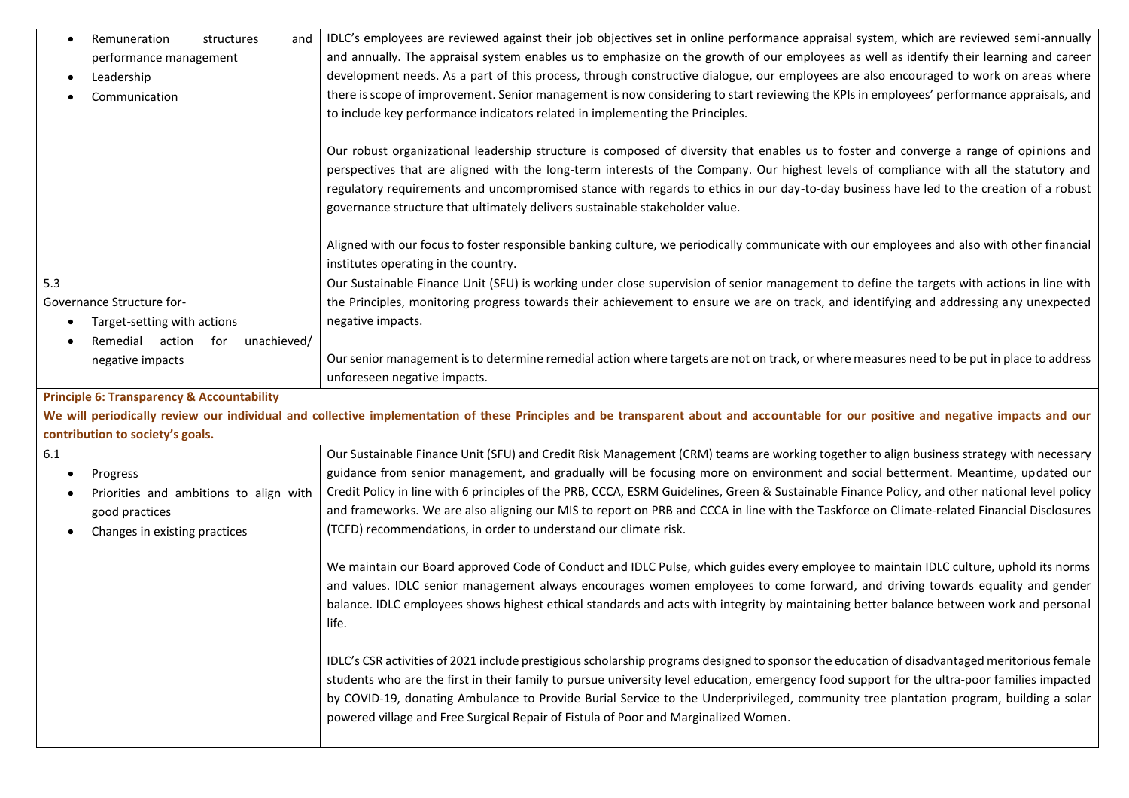| Remuneration<br>structures<br>and<br>$\bullet$        | IDLC's employees are reviewed against their job objectives set in online performance appraisal system, which are reviewed semi-annually                                                                                      |
|-------------------------------------------------------|------------------------------------------------------------------------------------------------------------------------------------------------------------------------------------------------------------------------------|
| performance management                                | and annually. The appraisal system enables us to emphasize on the growth of our employees as well as identify their learning and career                                                                                      |
| Leadership                                            | development needs. As a part of this process, through constructive dialogue, our employees are also encouraged to work on areas where                                                                                        |
| Communication                                         | there is scope of improvement. Senior management is now considering to start reviewing the KPIs in employees' performance appraisals, and                                                                                    |
|                                                       | to include key performance indicators related in implementing the Principles.                                                                                                                                                |
|                                                       |                                                                                                                                                                                                                              |
|                                                       | Our robust organizational leadership structure is composed of diversity that enables us to foster and converge a range of opinions and                                                                                       |
|                                                       | perspectives that are aligned with the long-term interests of the Company. Our highest levels of compliance with all the statutory and                                                                                       |
|                                                       | regulatory requirements and uncompromised stance with regards to ethics in our day-to-day business have led to the creation of a robust                                                                                      |
|                                                       | governance structure that ultimately delivers sustainable stakeholder value.                                                                                                                                                 |
|                                                       | Aligned with our focus to foster responsible banking culture, we periodically communicate with our employees and also with other financial                                                                                   |
|                                                       | institutes operating in the country.                                                                                                                                                                                         |
| 5.3                                                   | Our Sustainable Finance Unit (SFU) is working under close supervision of senior management to define the targets with actions in line with                                                                                   |
| Governance Structure for-                             | the Principles, monitoring progress towards their achievement to ensure we are on track, and identifying and addressing any unexpected                                                                                       |
| Target-setting with actions                           | negative impacts.                                                                                                                                                                                                            |
| Remedial action<br>unachieved/<br>for                 |                                                                                                                                                                                                                              |
| negative impacts                                      | Our senior management is to determine remedial action where targets are not on track, or where measures need to be put in place to address                                                                                   |
|                                                       | unforeseen negative impacts.                                                                                                                                                                                                 |
|                                                       |                                                                                                                                                                                                                              |
| <b>Principle 6: Transparency &amp; Accountability</b> |                                                                                                                                                                                                                              |
|                                                       | We will periodically review our individual and collective implementation of these Principles and be transparent about and accountable for our positive and negative impacts and our                                          |
| contribution to society's goals.                      |                                                                                                                                                                                                                              |
| 6.1                                                   | Our Sustainable Finance Unit (SFU) and Credit Risk Management (CRM) teams are working together to align business strategy with necessary                                                                                     |
| Progress                                              | guidance from senior management, and gradually will be focusing more on environment and social betterment. Meantime, updated our                                                                                             |
| Priorities and ambitions to align with                | Credit Policy in line with 6 principles of the PRB, CCCA, ESRM Guidelines, Green & Sustainable Finance Policy, and other national level policy                                                                               |
| good practices                                        | and frameworks. We are also aligning our MIS to report on PRB and CCCA in line with the Taskforce on Climate-related Financial Disclosures                                                                                   |
| Changes in existing practices                         | (TCFD) recommendations, in order to understand our climate risk.                                                                                                                                                             |
|                                                       |                                                                                                                                                                                                                              |
|                                                       | We maintain our Board approved Code of Conduct and IDLC Pulse, which guides every employee to maintain IDLC culture, uphold its norms                                                                                        |
|                                                       | and values. IDLC senior management always encourages women employees to come forward, and driving towards equality and gender                                                                                                |
|                                                       | balance. IDLC employees shows highest ethical standards and acts with integrity by maintaining better balance between work and personal<br>life.                                                                             |
|                                                       |                                                                                                                                                                                                                              |
|                                                       | IDLC's CSR activities of 2021 include prestigious scholarship programs designed to sponsor the education of disadvantaged meritorious female                                                                                 |
|                                                       | students who are the first in their family to pursue university level education, emergency food support for the ultra-poor families impacted                                                                                 |
|                                                       | by COVID-19, donating Ambulance to Provide Burial Service to the Underprivileged, community tree plantation program, building a solar<br>powered village and Free Surgical Repair of Fistula of Poor and Marginalized Women. |